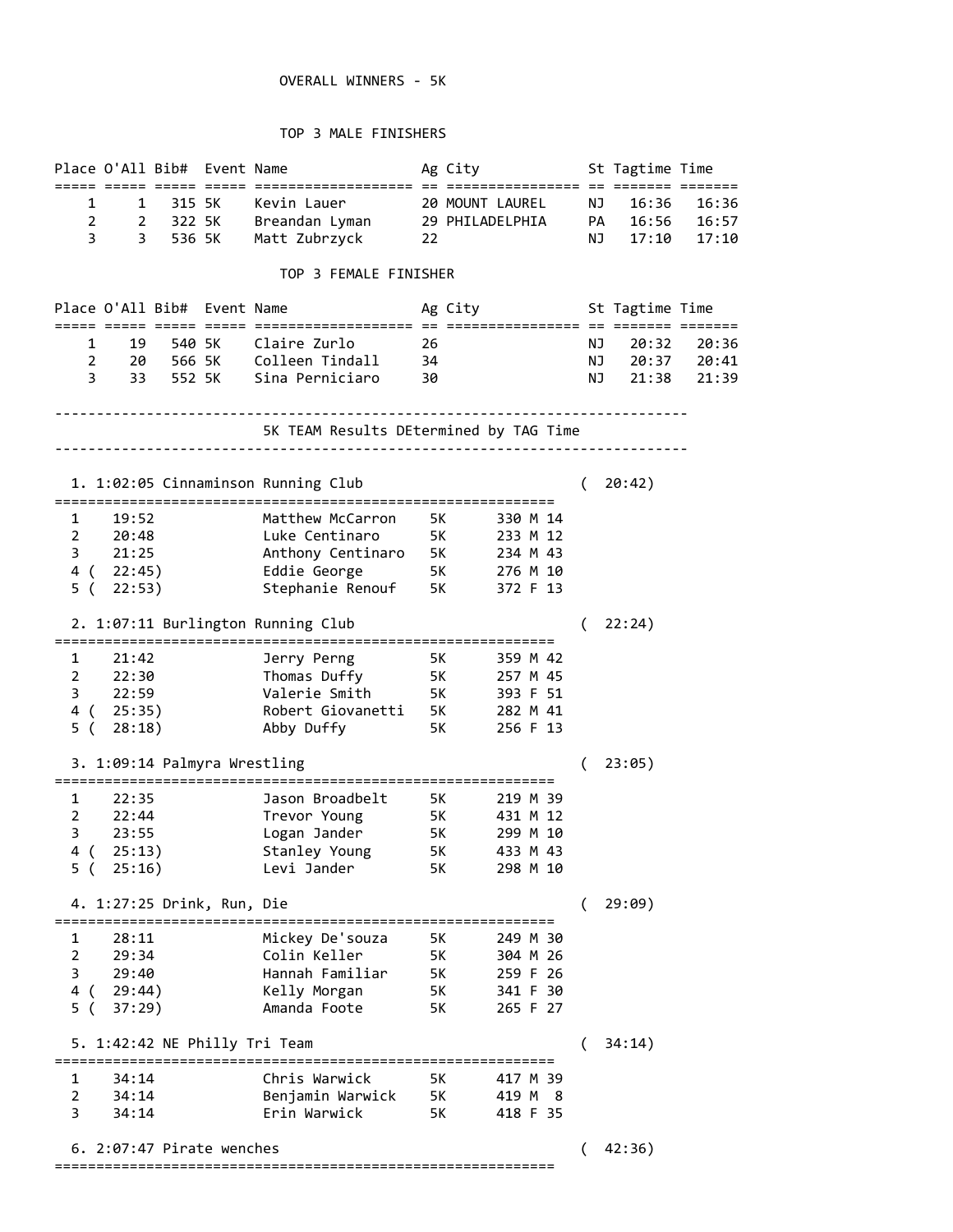## OVERALL WINNERS - 5K

#### TOP 3 MALE FINISHERS

|                                | Place O'All Bib# Event Name                           |                                                                                           |    | Ag City                             |    | St Tagtime Time |             |
|--------------------------------|-------------------------------------------------------|-------------------------------------------------------------------------------------------|----|-------------------------------------|----|-----------------|-------------|
|                                |                                                       |                                                                                           |    |                                     |    |                 |             |
| 1                              | 1 315 5K                                              | Kevin Lauer                                                                               |    | 20 MOUNT LAUREL                     | NJ | 16:36           | 16:36       |
| $\overline{2}$                 | 2 322 5K                                              | Breandan Lyman 29 PHILADELPHIA PA 16:56                                                   |    |                                     |    |                 | 16:57       |
| 3                              | 3 536 5K                                              | Matt Zubrzyck                                                                             | 22 |                                     | NJ | 17:10           | 17:10       |
|                                |                                                       | TOP 3 FEMALE FINISHER                                                                     |    |                                     |    |                 |             |
|                                | Place O'All Bib# Event Name                           |                                                                                           |    | Ag City                             |    | St Tagtime Time |             |
| $1 \quad$                      | 19<br>540 SK                                          | Claire Zurlo                                                                              | 26 |                                     | NJ | 20:32           | 20:36       |
| $2 \left( \frac{1}{2} \right)$ |                                                       | 20 566 5K Colleen Tindall 34                                                              |    |                                     | NJ |                 | 20:37 20:41 |
| 3.                             | 33 552 5K                                             | Sina Perniciaro      30                                                                   |    |                                     | NJ | 21:38           | 21:39       |
|                                |                                                       |                                                                                           |    |                                     |    |                 |             |
|                                |                                                       | 5K TEAM Results DEtermined by TAG Time                                                    |    | ----------------------------------- |    |                 |             |
|                                |                                                       |                                                                                           |    |                                     |    |                 |             |
|                                |                                                       | 1. 1:02:05 Cinnaminson Running Club                                                       |    |                                     |    | 20:42)          |             |
| 1                              | 19:52                                                 | Matthew McCarron                                                                          |    | 330 M 14                            |    |                 |             |
| $\overline{2}$                 | 20:48                                                 | Luke Centinaro 5K 233 M 12                                                                |    |                                     |    |                 |             |
|                                | 3 21:25                                               | Anthony Centinaro 5K 234 M 43<br>Eddie George 5K 276 M 10<br>Stephanie Renouf 5K 372 F 13 |    |                                     |    |                 |             |
|                                | 4 ( 22:45)                                            |                                                                                           |    |                                     |    |                 |             |
| 5 (                            | 22:53)                                                |                                                                                           |    |                                     |    |                 |             |
|                                |                                                       | 2. 1:07:11 Burlington Running Club                                                        |    |                                     |    | 22:24)          |             |
| 1                              | 21:42                                                 | Jerry Perng 5K                                                                            |    | 359 M 42                            |    |                 |             |
| $\overline{2}$                 | 22:30                                                 | Thomas Duffy 5K                                                                           |    | 257 M 45                            |    |                 |             |
| 3                              | 22:59                                                 | Valerie Smith                                                                             |    | 5K<br>393 F 51                      |    |                 |             |
| 4 ( 25:35)                     |                                                       |                                                                                           |    | 282 M 41                            |    |                 |             |
| 5 (                            | 28:18)                                                | Robert Giovanetti 5K<br>Abby Duffy 5K<br>Abby Duffy                                       |    | 256 F 13                            |    |                 |             |
|                                | 3. 1:09:14 Palmyra Wrestling                          |                                                                                           |    |                                     | (  | 23:05)          |             |
| 1                              | 22:35                                                 | Jason Broadbelt                                                                           |    | 219 M 39                            |    |                 |             |
| $\overline{2}$                 | 22:44                                                 | Trevor Young 5K 431 M 12                                                                  |    |                                     |    |                 |             |
| 3                              | 23:55                                                 | Logan Jander 5K 299 M 10                                                                  |    |                                     |    |                 |             |
| 4 (                            | 25:13)                                                | Stanley Young<br><b>5K</b>                                                                |    | 433 M 43                            |    |                 |             |
| 5 (                            | 25:16)                                                | Levi Jander                                                                               | 5K | 298 M 10                            |    |                 |             |
|                                | 4. 1:27:25 Drink, Run, Die<br>======================= | ===================================                                                       |    |                                     |    | 29:09)          |             |
| 1                              | 28:11                                                 | Mickey De'souza                                                                           | 5K | 249 M 30                            |    |                 |             |
| $\overline{2}$                 | 29:34                                                 | Colin Keller                                                                              | 5K | 304 M 26                            |    |                 |             |
| 3                              | 29:40                                                 | Hannah Familiar                                                                           | 5K | 259 F 26                            |    |                 |             |
| 4 (                            | 29:44)                                                | Kelly Morgan                                                                              | 5K | 341 F 30                            |    |                 |             |
| 5(                             | 37:29)                                                | Amanda Foote                                                                              | 5K | 265 F 27                            |    |                 |             |
|                                | 5. 1:42:42 NE Philly Tri Team                         |                                                                                           |    |                                     |    | 34:14)          |             |
| 1                              | 34:14                                                 | Chris Warwick                                                                             | 5K | 417 M 39                            |    |                 |             |
| 2                              | 34:14                                                 | Benjamin Warwick 5K                                                                       |    | 419 M 8                             |    |                 |             |
| 3                              | 34:14                                                 | Erin Warwick                                                                              | 5K | 418 F 35                            |    |                 |             |
|                                | 6. 2:07:47 Pirate wenches                             |                                                                                           |    |                                     |    | 42:36)          |             |
|                                |                                                       | ------------------------------                                                            |    |                                     |    |                 |             |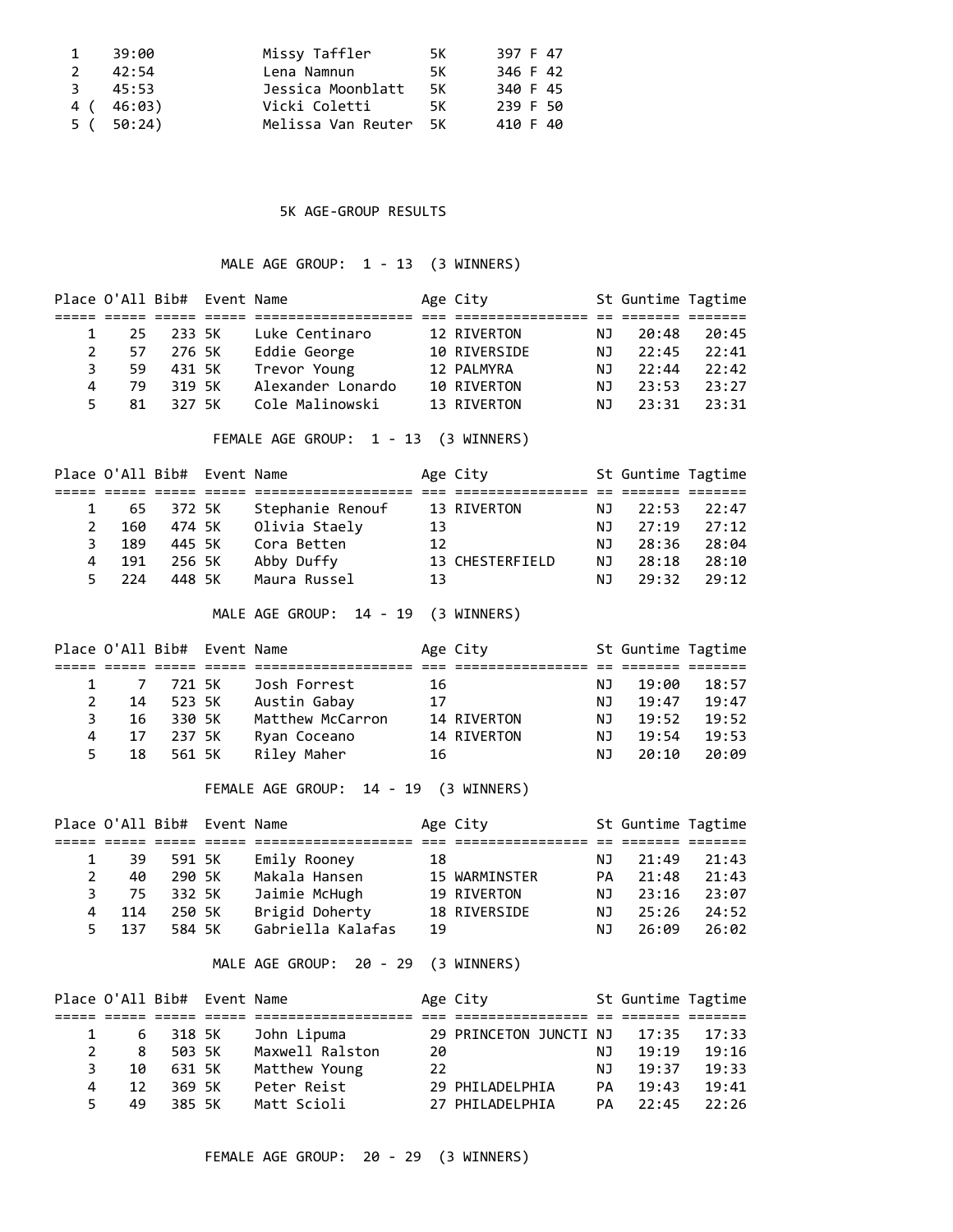|               | 39:00      | Missy Taffler         | 5K . | 397 F 47 |
|---------------|------------|-----------------------|------|----------|
| 2             | 42:54      | Lena Namnun           | 5K . | 346 F 42 |
| $\mathcal{R}$ | 45:53      | Jessica Moonblatt     | 5K   | 340 F 45 |
|               | 4 ( 46:03) | Vicki Coletti         | 5K   | 239 F 50 |
|               | 5(50:24)   | Melissa Van Reuter 5K |      | 410 F 40 |

### 5K AGE-GROUP RESULTS

# MALE AGE GROUP: 1 - 13 (3 WINNERS)

|                | Place O'All Bib# Event Name |        |            |                                                                                                     |    | Age City        |           | St Guntime Tagtime |       |
|----------------|-----------------------------|--------|------------|-----------------------------------------------------------------------------------------------------|----|-----------------|-----------|--------------------|-------|
| $\mathbf{1}$   | 25                          | 233 5K |            | 2002 2003 2009 2009 2009 200901010101010101 200 2009010101010101 20 200901 200901<br>Luke Centinaro |    | 12 RIVERTON     | <b>NJ</b> | 20:48              | 20:45 |
| $\overline{2}$ | 57                          | 276 5K |            | Eddie George                                                                                        |    | 10 RIVERSIDE    | NJ        | 22:45              | 22:41 |
| 3              | 59                          | 431 5K |            | Trevor Young                                                                                        |    | 12 PALMYRA      | NJ        | 22:44              | 22:42 |
| 4              | 79                          | 319 5K |            | Alexander Lonardo                                                                                   |    | 10 RIVERTON     | NJ        | 23:53              | 23:27 |
| 5              | 81                          | 327 5K |            | Cole Malinowski                                                                                     |    | 13 RIVERTON     | NJ.       | 23:31              | 23:31 |
|                |                             |        |            |                                                                                                     |    |                 |           |                    |       |
|                |                             |        |            | FEMALE AGE GROUP: 1 - 13 (3 WINNERS)                                                                |    |                 |           |                    |       |
|                | Place O'All Bib# Event Name |        |            |                                                                                                     |    | Age City        |           | St Guntime Tagtime |       |
|                |                             |        |            |                                                                                                     |    |                 |           |                    |       |
| 1              | 65                          | 372 5K |            | Stephanie Renouf                                                                                    |    | 13 RIVERTON     | NJ        | 22:53              | 22:47 |
| $\overline{2}$ | 160                         | 474 5K |            | Olivia Staely                                                                                       | 13 |                 | ΝJ        | 27:19              | 27:12 |
| 3              | 189                         | 445 5K |            | Cora Betten                                                                                         | 12 |                 | NJ        | 28:36              | 28:04 |
| 4              | 191                         | 256 5K |            | Abby Duffy                                                                                          |    | 13 CHESTERFIELD | ΝJ        | 28:18              | 28:10 |
| 5              | 224                         | 448 5K |            | Maura Russel                                                                                        | 13 |                 | ΝJ        | 29:32              | 29:12 |
|                |                             |        |            | MALE AGE GROUP: 14 - 19                                                                             |    | (3 WINNERS)     |           |                    |       |
|                | Place O'All Bib# Event Name |        |            |                                                                                                     |    | Age City        |           | St Guntime Tagtime |       |
| 1              | 7                           | 721 5K |            | Josh Forrest                                                                                        | 16 |                 | <b>NJ</b> | 19:00              | 18:57 |
| $\overline{2}$ | 14                          | 523 5K |            | Austin Gabay                                                                                        | 17 |                 | NJ        | 19:47              | 19:47 |
| 3              | 16                          | 330 5K |            | Matthew McCarron                                                                                    |    | 14 RIVERTON     | NJ        | 19:52              | 19:52 |
| 4              | 17                          | 237 5K |            | Ryan Coceano                                                                                        |    | 14 RIVERTON     | NJ        | 19:54              | 19:53 |
| 5              | 18                          | 561 5K |            | Riley Maher                                                                                         | 16 |                 | <b>NJ</b> | 20:10              | 20:09 |
|                |                             |        |            |                                                                                                     |    |                 |           |                    |       |
|                |                             |        |            | FEMALE AGE GROUP: 14 - 19 (3 WINNERS)                                                               |    |                 |           |                    |       |
|                | Place O'All Bib#            |        | Event Name |                                                                                                     |    | Age City        |           | St Guntime Tagtime |       |
| 1              | 39                          | 591 5K |            | 2002 2003 2009 2009 2009 200901010101010101 200 2009010101010101 20 200901 200901                   | 18 |                 | NJ        | 21:49              | 21:43 |
| $\overline{2}$ | 40                          | 290 5K |            | Emily Rooney<br>Makala Hansen                                                                       |    |                 | PA        | 21:48              | 21:43 |
| $\overline{3}$ | 75                          |        |            |                                                                                                     |    | 15 WARMINSTER   |           |                    |       |
| 4              |                             | 332 5K |            | Jaimie McHugh                                                                                       |    | 19 RIVERTON     | NJ        | 23:16              | 23:07 |
|                | 114                         | 250 5K |            | Brigid Doherty                                                                                      |    | 18 RIVERSIDE    | NJ        | 25:26              | 24:52 |
| 5              |                             |        |            |                                                                                                     |    |                 |           |                    |       |
|                | 137                         | 584 5K |            | Gabriella Kalafas                                                                                   | 19 |                 | ΝJ        | 26:09              | 26:02 |

|    | Place O'All Bib# Event Name |          |                 |    | Age City               |     | St Guntime Tagtime |       |  |
|----|-----------------------------|----------|-----------------|----|------------------------|-----|--------------------|-------|--|
|    |                             |          |                 |    |                        |     |                    |       |  |
|    |                             | 6 318 5K | John Lipuma     |    | 29 PRINCETON JUNCTI NJ |     | 17:35              | 17:33 |  |
|    | 8                           | 503 5K   | Maxwell Ralston | 20 |                        | NJ. | 19:19              | 19:16 |  |
| 3. | 10                          | 631 5K   | Matthew Young   | 22 |                        | NJ. | 19:37              | 19:33 |  |
| 4  | 12                          | 369 5K   | Peter Reist     |    | 29 PHILADELPHIA        | PA. | 19:43              | 19:41 |  |
| 5. | 49                          | 385 5K   | Matt Scioli     |    | 27 PHILADELPHIA        | PA  | 22:45              | 22:26 |  |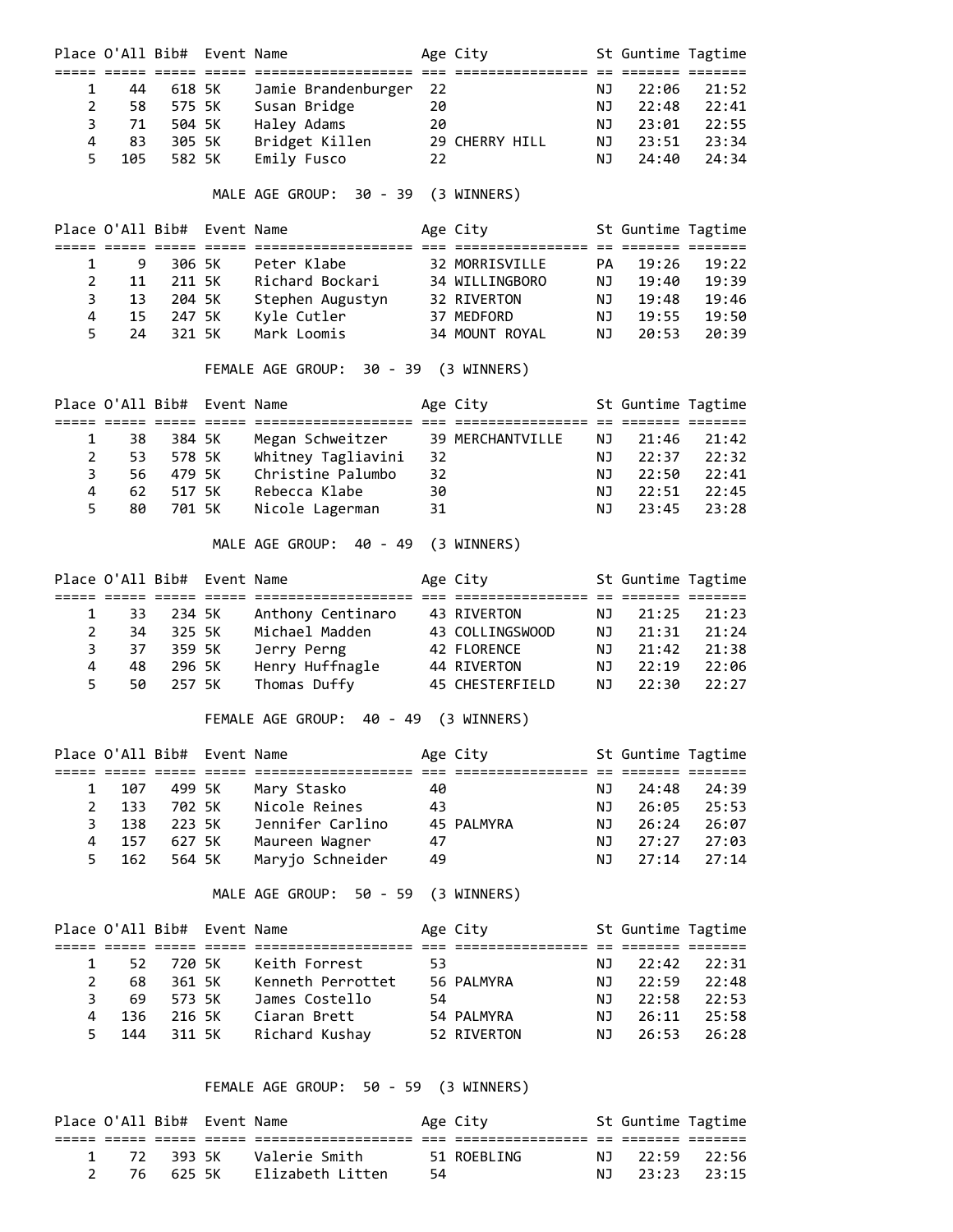|                | Place O'All Bib# |                             | Event Name |                                                                                 |    | Age City            |    | St Guntime Tagtime                       |       |
|----------------|------------------|-----------------------------|------------|---------------------------------------------------------------------------------|----|---------------------|----|------------------------------------------|-------|
| 1              | 44               | 618 5K                      |            | Jamie Brandenburger                                                             | 22 |                     | ΝJ | 22:06                                    | 21:52 |
| $\overline{2}$ | 58               | 575 5K                      |            | Susan Bridge                                                                    | 20 |                     | ΝJ | 22:48                                    | 22:41 |
| 3              | 71               | 504 5K                      |            | Haley Adams                                                                     | 20 |                     | ΝJ | 23:01                                    | 22:55 |
| 4              | 83               | 305 5K                      |            | Bridget Killen                                                                  |    | 29 CHERRY HILL      | ΝJ | 23:51                                    | 23:34 |
| 5              | 105              | 582 5K                      |            | Emily Fusco                                                                     | 22 |                     | ΝJ | 24:40                                    | 24:34 |
|                |                  |                             |            | MALE AGE GROUP: 30 - 39                                                         |    | (3 WINNERS)         |    |                                          |       |
|                |                  | Place O'All Bib# Event Name |            |                                                                                 |    | Age City            |    | St Guntime Tagtime<br>== ======= ======= |       |
| 1              | 9                | 306 5K                      |            | Peter Klabe                                                                     |    | 32 MORRISVILLE      | PA | 19:26                                    | 19:22 |
| $\overline{2}$ | 11               | 211 5K                      |            | Richard Bockari                                                                 |    | 34 WILLINGBORO      | ΝJ | 19:40                                    | 19:39 |
| 3              | 13               | 204 5K                      |            | Stephen Augustyn                                                                |    | 32 RIVERTON         | ΝJ | 19:48                                    | 19:46 |
| 4              | 15               | 247 5K                      |            | Kyle Cutler                                                                     |    | 37 MEDFORD          | NJ | 19:55                                    | 19:50 |
| 5              | 24               | 321 5K                      |            | Mark Loomis                                                                     |    | 34 MOUNT ROYAL      | ΝJ | 20:53                                    | 20:39 |
|                |                  |                             |            | FEMALE AGE GROUP:                                                               |    | 30 - 39 (3 WINNERS) |    |                                          |       |
|                |                  | Place O'All Bib# Event Name |            | 2002 2003 2009 2009 2009 20091010101010101 200 200910101010101 20 200910 200910 |    | Age City            |    | St Guntime Tagtime                       |       |
| 1              | 38               | 384 5K                      |            | Megan Schweitzer                                                                |    | 39 MERCHANTVILLE    | ΝJ | 21:46                                    | 21:42 |
| $\overline{2}$ | 53               | 578 5K                      |            | Whitney Tagliavini                                                              | 32 |                     | ΝJ | 22:37                                    | 22:32 |
| 3              | 56               | 479 5K                      |            | Christine Palumbo                                                               | 32 |                     | ΝJ | 22:50                                    | 22:41 |
| 4              | 62               | 517 5K                      |            | Rebecca Klabe                                                                   | 30 |                     | ΝJ | 22:51                                    | 22:45 |
| 5              | 80               | 701 5K                      |            | Nicole Lagerman                                                                 | 31 |                     | ΝJ | 23:45                                    | 23:28 |
|                |                  |                             |            | MALE AGE GROUP: 40 - 49                                                         |    | (3 WINNERS)         |    |                                          |       |
|                | Place O'All Bib# |                             | Event Name |                                                                                 |    | Age City            |    | St Guntime Tagtime<br>es essesse essesse |       |
| 1              | 33               | 234 5K                      |            | Anthony Centinaro                                                               |    | 43 RIVERTON         | ΝJ | 21:25                                    | 21:23 |
| 2              | 34               | 325 5K                      |            | Michael Madden                                                                  |    | 43 COLLINGSWOOD     | ΝJ | 21:31                                    | 21:24 |
| 3              | 37               | 359 5K                      |            | Jerry Perng                                                                     |    | 42 FLORENCE         | ΝJ | 21:42                                    | 21:38 |
| 4              | 48               | 296 5K                      |            | Henry Huffnagle                                                                 |    | 44 RIVERTON         | NJ | 22:19                                    | 22:06 |
| 5              | 50               | 257 5K                      |            | Thomas Duffy                                                                    |    | 45 CHESTERFIELD     | ΝJ | 22:30                                    | 22:27 |
|                |                  |                             |            | FEMALE AGE GROUP:<br>40 - 49                                                    |    | (3 WINNERS)         |    |                                          |       |
|                |                  | Place O'All Bib# Event Name |            |                                                                                 |    | Age City            |    | St Guntime Tagtime                       |       |
| 1              | 107              | 499 5K                      |            | Mary Stasko                                                                     | 40 |                     | ΝJ | 24:48                                    | 24:39 |
| 2              | 133              | 702 5K                      |            | Nicole Reines                                                                   | 43 |                     | NJ | 26:05                                    | 25:53 |
| 3              | 138              | 223 5K                      |            | Jennifer Carlino                                                                |    | 45 PALMYRA          | NJ | 26:24                                    | 26:07 |
| 4              | 157              |                             | 627 5K     | Maureen Wagner                                                                  | 47 |                     | NJ | 27:27                                    | 27:03 |
| 5              | 162              | 564 5K                      |            | Maryjo Schneider                                                                | 49 |                     | ΝJ | 27:14                                    | 27:14 |
|                |                  |                             |            | MALE AGE GROUP: 50 - 59                                                         |    | (3 WINNERS)         |    |                                          |       |
|                |                  | Place O'All Bib# Event Name |            |                                                                                 |    | Age City            |    | St Guntime Tagtime                       |       |
|                |                  |                             |            |                                                                                 |    |                     |    |                                          |       |
| 1              | 52               | 720 5K                      |            | Keith Forrest                                                                   | 53 |                     | NJ | 22:42                                    | 22:31 |
| $\overline{2}$ | 68               |                             | 361 5K     | Kenneth Perrottet                                                               |    | 56 PALMYRA          | ΝJ | 22:59                                    | 22:48 |
| 3              | 69               |                             | 573 5K     | James Costello                                                                  | 54 |                     | NJ | 22:58                                    | 22:53 |
| 4              | 136              |                             | 216 5K     | Ciaran Brett                                                                    |    | 54 PALMYRA          | NJ | 26:11                                    | 25:58 |
| 5              | 144              |                             | 311 5K     | Richard Kushay                                                                  |    | 52 RIVERTON         | NJ | 26:53                                    | 26:28 |
|                |                  |                             |            | FEMALE AGE GROUP: 50 - 59 (3 WINNERS)                                           |    |                     |    |                                          |       |
|                |                  | Place O'All Bib# Event Name |            |                                                                                 |    | Age City            |    | St Guntime Tagtime                       |       |

 1 72 393 5K Valerie Smith 51 ROEBLING NJ 22:59 22:56 2 76 625 5K Elizabeth Litten 54 NJ 23:23 23:15